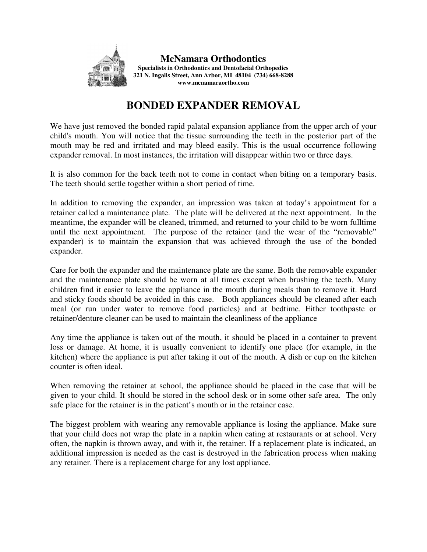

## **BONDED EXPANDER REMOVAL**

We have just removed the bonded rapid palatal expansion appliance from the upper arch of your child's mouth. You will notice that the tissue surrounding the teeth in the posterior part of the mouth may be red and irritated and may bleed easily. This is the usual occurrence following expander removal. In most instances, the irritation will disappear within two or three days.

It is also common for the back teeth not to come in contact when biting on a temporary basis. The teeth should settle together within a short period of time.

In addition to removing the expander, an impression was taken at today's appointment for a retainer called a maintenance plate. The plate will be delivered at the next appointment. In the meantime, the expander will be cleaned, trimmed, and returned to your child to be worn fulltime until the next appointment. The purpose of the retainer (and the wear of the "removable" expander) is to maintain the expansion that was achieved through the use of the bonded expander.

Care for both the expander and the maintenance plate are the same. Both the removable expander and the maintenance plate should be worn at all times except when brushing the teeth. Many children find it easier to leave the appliance in the mouth during meals than to remove it. Hard and sticky foods should be avoided in this case. Both appliances should be cleaned after each meal (or run under water to remove food particles) and at bedtime. Either toothpaste or retainer/denture cleaner can be used to maintain the cleanliness of the appliance

Any time the appliance is taken out of the mouth, it should be placed in a container to prevent loss or damage. At home, it is usually convenient to identify one place (for example, in the kitchen) where the appliance is put after taking it out of the mouth. A dish or cup on the kitchen counter is often ideal.

When removing the retainer at school, the appliance should be placed in the case that will be given to your child. It should be stored in the school desk or in some other safe area. The only safe place for the retainer is in the patient's mouth or in the retainer case.

The biggest problem with wearing any removable appliance is losing the appliance. Make sure that your child does not wrap the plate in a napkin when eating at restaurants or at school. Very often, the napkin is thrown away, and with it, the retainer. If a replacement plate is indicated, an additional impression is needed as the cast is destroyed in the fabrication process when making any retainer. There is a replacement charge for any lost appliance.